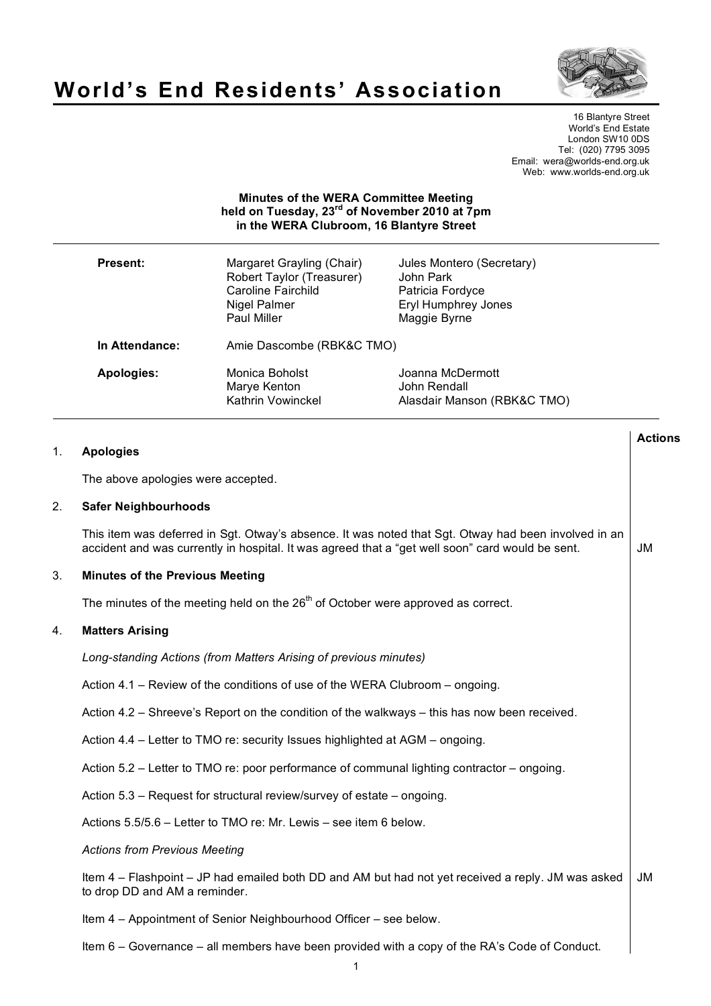

# **World's End Residents' Association**

16 Blantyre Street World's End Estate London SW10 0DS Tel: (020) 7795 3095 Email: wera@worlds-end.org.uk Web: www.worlds-end.org.uk

# **Minutes of the WERA Committee Meeting held on Tuesday, 23rd of November 2010 at 7pm in the WERA Clubroom, 16 Blantyre Street**

| Present:       | Margaret Grayling (Chair)<br>Robert Taylor (Treasurer)<br>Caroline Fairchild<br>Nigel Palmer<br><b>Paul Miller</b> | Jules Montero (Secretary)<br>John Park<br>Patricia Fordyce<br><b>Eryl Humphrey Jones</b><br>Maggie Byrne |
|----------------|--------------------------------------------------------------------------------------------------------------------|----------------------------------------------------------------------------------------------------------|
| In Attendance: | Amie Dascombe (RBK&C TMO)                                                                                          |                                                                                                          |
| Apologies:     | Monica Boholst<br>Marye Kenton<br>Kathrin Vowinckel                                                                | Joanna McDermott<br>John Rendall<br>Alasdair Manson (RBK&C TMO)                                          |

| 1. | <b>Apologies</b>                                                                                                                                                                                         | <b>Actions</b> |
|----|----------------------------------------------------------------------------------------------------------------------------------------------------------------------------------------------------------|----------------|
|    | The above apologies were accepted.                                                                                                                                                                       |                |
| 2. | <b>Safer Neighbourhoods</b>                                                                                                                                                                              |                |
|    | This item was deferred in Sgt. Otway's absence. It was noted that Sgt. Otway had been involved in an<br>accident and was currently in hospital. It was agreed that a "get well soon" card would be sent. | JM             |
| 3. | <b>Minutes of the Previous Meeting</b>                                                                                                                                                                   |                |
|    | The minutes of the meeting held on the $26th$ of October were approved as correct.                                                                                                                       |                |
| 4. | <b>Matters Arising</b>                                                                                                                                                                                   |                |
|    | Long-standing Actions (from Matters Arising of previous minutes)                                                                                                                                         |                |
|    | Action 4.1 – Review of the conditions of use of the WERA Clubroom – ongoing.                                                                                                                             |                |
|    | Action 4.2 – Shreeve's Report on the condition of the walkways – this has now been received.                                                                                                             |                |
|    | Action 4.4 – Letter to TMO re: security Issues highlighted at AGM – ongoing.                                                                                                                             |                |
|    | Action 5.2 – Letter to TMO re: poor performance of communal lighting contractor – ongoing.                                                                                                               |                |
|    | Action 5.3 – Request for structural review/survey of estate – ongoing.                                                                                                                                   |                |
|    | Actions 5.5/5.6 - Letter to TMO re: Mr. Lewis - see item 6 below.                                                                                                                                        |                |
|    | <b>Actions from Previous Meeting</b>                                                                                                                                                                     |                |
|    | Item 4 – Flashpoint – JP had emailed both DD and AM but had not yet received a reply. JM was asked<br>to drop DD and AM a reminder.                                                                      | <b>JM</b>      |
|    | Item 4 – Appointment of Senior Neighbourhood Officer – see below.                                                                                                                                        |                |
|    | Item 6 – Governance – all members have been provided with a copy of the RA's Code of Conduct.                                                                                                            |                |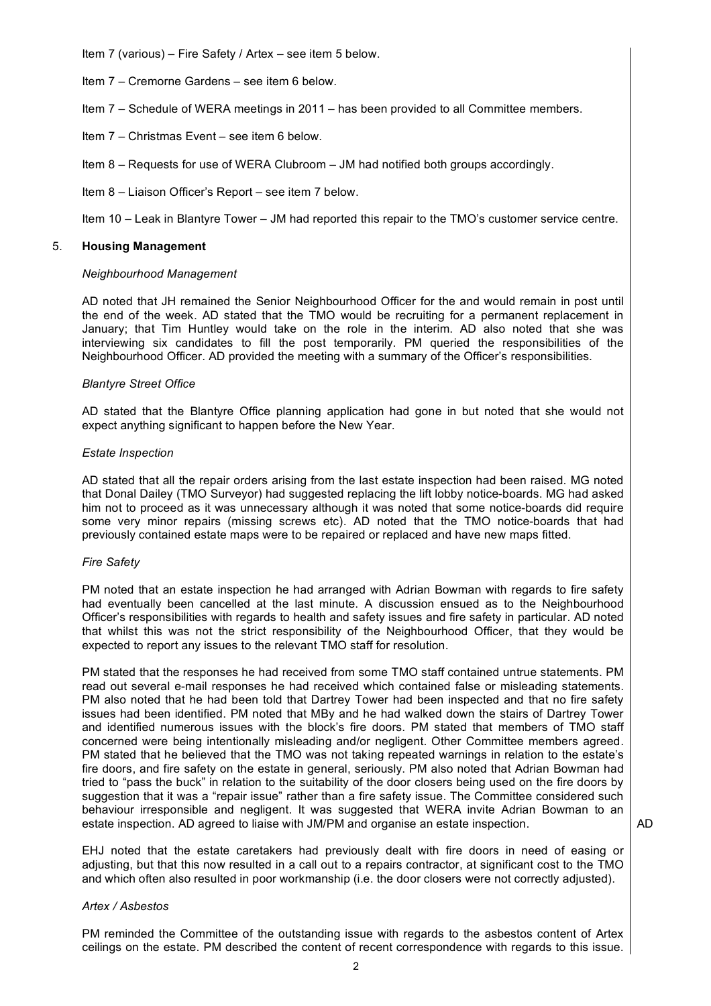Item 7 (various) – Fire Safety / Artex – see item 5 below.

- Item 7 Cremorne Gardens see item 6 below.
- Item 7 Schedule of WERA meetings in 2011 has been provided to all Committee members.
- Item 7 Christmas Event see item 6 below.
- Item 8 Requests for use of WERA Clubroom JM had notified both groups accordingly.
- Item 8 Liaison Officer's Report see item 7 below.

Item 10 – Leak in Blantyre Tower – JM had reported this repair to the TMO's customer service centre.

## 5. **Housing Management**

### *Neighbourhood Management*

AD noted that JH remained the Senior Neighbourhood Officer for the and would remain in post until the end of the week. AD stated that the TMO would be recruiting for a permanent replacement in January; that Tim Huntley would take on the role in the interim. AD also noted that she was interviewing six candidates to fill the post temporarily. PM queried the responsibilities of the Neighbourhood Officer. AD provided the meeting with a summary of the Officer's responsibilities.

### *Blantyre Street Office*

AD stated that the Blantyre Office planning application had gone in but noted that she would not expect anything significant to happen before the New Year.

### *Estate Inspection*

AD stated that all the repair orders arising from the last estate inspection had been raised. MG noted that Donal Dailey (TMO Surveyor) had suggested replacing the lift lobby notice-boards. MG had asked him not to proceed as it was unnecessary although it was noted that some notice-boards did require some very minor repairs (missing screws etc). AD noted that the TMO notice-boards that had previously contained estate maps were to be repaired or replaced and have new maps fitted.

### *Fire Safety*

PM noted that an estate inspection he had arranged with Adrian Bowman with regards to fire safety had eventually been cancelled at the last minute. A discussion ensued as to the Neighbourhood Officer's responsibilities with regards to health and safety issues and fire safety in particular. AD noted that whilst this was not the strict responsibility of the Neighbourhood Officer, that they would be expected to report any issues to the relevant TMO staff for resolution.

PM stated that the responses he had received from some TMO staff contained untrue statements. PM read out several e-mail responses he had received which contained false or misleading statements. PM also noted that he had been told that Dartrey Tower had been inspected and that no fire safety issues had been identified. PM noted that MBy and he had walked down the stairs of Dartrey Tower and identified numerous issues with the block's fire doors. PM stated that members of TMO staff concerned were being intentionally misleading and/or negligent. Other Committee members agreed. PM stated that he believed that the TMO was not taking repeated warnings in relation to the estate's fire doors, and fire safety on the estate in general, seriously. PM also noted that Adrian Bowman had tried to "pass the buck" in relation to the suitability of the door closers being used on the fire doors by suggestion that it was a "repair issue" rather than a fire safety issue. The Committee considered such behaviour irresponsible and negligent. It was suggested that WERA invite Adrian Bowman to an estate inspection. AD agreed to liaise with JM/PM and organise an estate inspection.

EHJ noted that the estate caretakers had previously dealt with fire doors in need of easing or adjusting, but that this now resulted in a call out to a repairs contractor, at significant cost to the TMO and which often also resulted in poor workmanship (i.e. the door closers were not correctly adjusted).

### *Artex / Asbestos*

PM reminded the Committee of the outstanding issue with regards to the asbestos content of Artex ceilings on the estate. PM described the content of recent correspondence with regards to this issue.

AD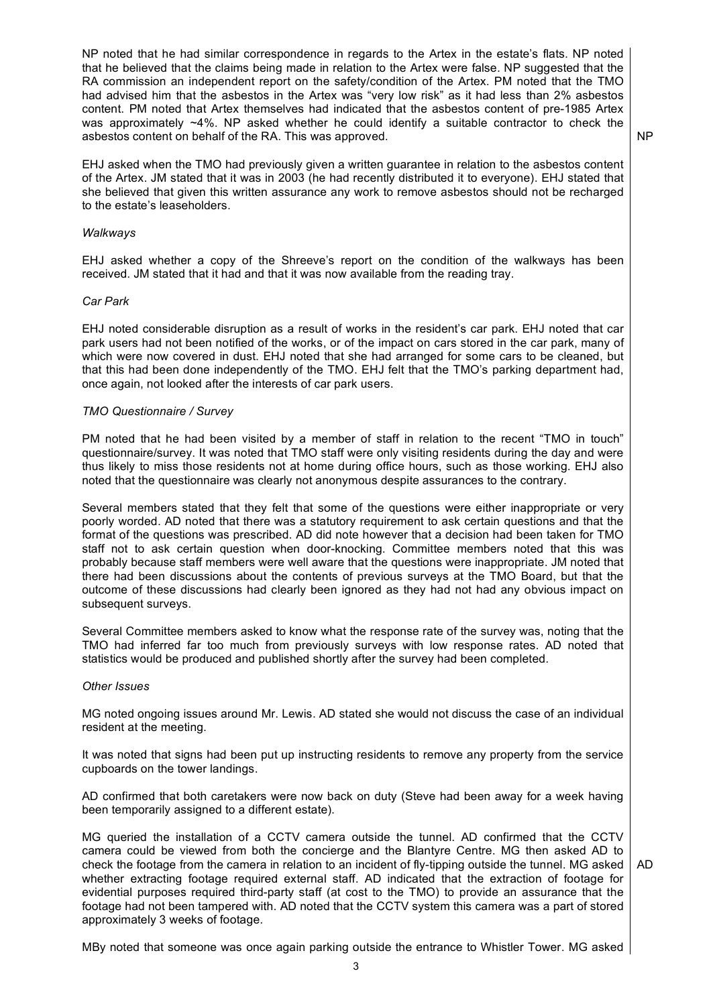NP noted that he had similar correspondence in regards to the Artex in the estate's flats. NP noted that he believed that the claims being made in relation to the Artex were false. NP suggested that the RA commission an independent report on the safety/condition of the Artex. PM noted that the TMO had advised him that the asbestos in the Artex was "very low risk" as it had less than 2% asbestos content. PM noted that Artex themselves had indicated that the asbestos content of pre-1985 Artex was approximately ~4%. NP asked whether he could identify a suitable contractor to check the asbestos content on behalf of the RA. This was approved.

NP

EHJ asked when the TMO had previously given a written guarantee in relation to the asbestos content of the Artex. JM stated that it was in 2003 (he had recently distributed it to everyone). EHJ stated that she believed that given this written assurance any work to remove asbestos should not be recharged to the estate's leaseholders.

#### *Walkways*

EHJ asked whether a copy of the Shreeve's report on the condition of the walkways has been received. JM stated that it had and that it was now available from the reading tray.

#### *Car Park*

EHJ noted considerable disruption as a result of works in the resident's car park. EHJ noted that car park users had not been notified of the works, or of the impact on cars stored in the car park, many of which were now covered in dust. EHJ noted that she had arranged for some cars to be cleaned, but that this had been done independently of the TMO. EHJ felt that the TMO's parking department had, once again, not looked after the interests of car park users.

#### *TMO Questionnaire / Survey*

PM noted that he had been visited by a member of staff in relation to the recent "TMO in touch" questionnaire/survey. It was noted that TMO staff were only visiting residents during the day and were thus likely to miss those residents not at home during office hours, such as those working. EHJ also noted that the questionnaire was clearly not anonymous despite assurances to the contrary.

Several members stated that they felt that some of the questions were either inappropriate or very poorly worded. AD noted that there was a statutory requirement to ask certain questions and that the format of the questions was prescribed. AD did note however that a decision had been taken for TMO staff not to ask certain question when door-knocking. Committee members noted that this was probably because staff members were well aware that the questions were inappropriate. JM noted that there had been discussions about the contents of previous surveys at the TMO Board, but that the outcome of these discussions had clearly been ignored as they had not had any obvious impact on subsequent surveys.

Several Committee members asked to know what the response rate of the survey was, noting that the TMO had inferred far too much from previously surveys with low response rates. AD noted that statistics would be produced and published shortly after the survey had been completed.

## *Other Issues*

MG noted ongoing issues around Mr. Lewis. AD stated she would not discuss the case of an individual resident at the meeting.

It was noted that signs had been put up instructing residents to remove any property from the service cupboards on the tower landings.

AD confirmed that both caretakers were now back on duty (Steve had been away for a week having been temporarily assigned to a different estate).

MG queried the installation of a CCTV camera outside the tunnel. AD confirmed that the CCTV camera could be viewed from both the concierge and the Blantyre Centre. MG then asked AD to check the footage from the camera in relation to an incident of fly-tipping outside the tunnel. MG asked whether extracting footage required external staff. AD indicated that the extraction of footage for evidential purposes required third-party staff (at cost to the TMO) to provide an assurance that the footage had not been tampered with. AD noted that the CCTV system this camera was a part of stored approximately 3 weeks of footage.

AD

MBy noted that someone was once again parking outside the entrance to Whistler Tower. MG asked